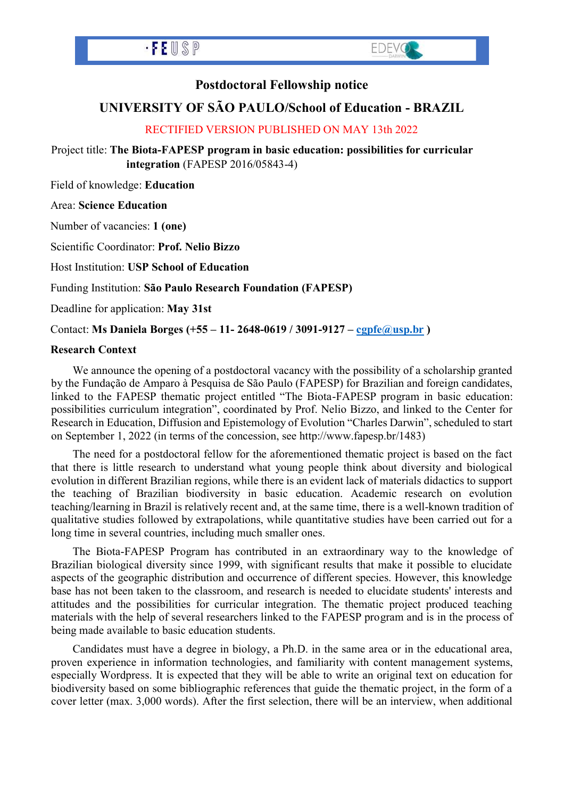



## **Postdoctoral Fellowship notice**

# **UNIVERSITY OF SÃO PAULO/School of Education - BRAZIL**

### RECTIFIED VERSION PUBLISHED ON MAY 13th 2022

Project title: **The Biota-FAPESP program in basic education: possibilities for curricular integration** (FAPESP 2016/05843-4)

Field of knowledge: **Education**

#### Area: **Science Education**

Number of vacancies: **1 (one)**

Scientific Coordinator: **Prof. Nelio Bizzo**

Host Institution: **USP School of Education**

Funding Institution: **São Paulo Research Foundation (FAPESP)**

Deadline for application: **May 31st**

Contact: **Ms Daniela Borges (+55 – 11- 2648-0619 / 3091-9127 – [cgpfe@usp.br](mailto:cgpfe@usp.br) )**

#### **Research Context**

We announce the opening of a postdoctoral vacancy with the possibility of a scholarship granted by the Fundação de Amparo à Pesquisa de São Paulo (FAPESP) for Brazilian and foreign candidates, linked to the FAPESP thematic project entitled "The Biota-FAPESP program in basic education: possibilities curriculum integration", coordinated by Prof. Nelio Bizzo, and linked to the Center for Research in Education, Diffusion and Epistemology of Evolution "Charles Darwin", scheduled to start on September 1, 2022 (in terms of the concession, see http://www.fapesp.br/1483)

The need for a postdoctoral fellow for the aforementioned thematic project is based on the fact that there is little research to understand what young people think about diversity and biological evolution in different Brazilian regions, while there is an evident lack of materials didactics to support the teaching of Brazilian biodiversity in basic education. Academic research on evolution teaching/learning in Brazil is relatively recent and, at the same time, there is a well-known tradition of qualitative studies followed by extrapolations, while quantitative studies have been carried out for a long time in several countries, including much smaller ones.

The Biota-FAPESP Program has contributed in an extraordinary way to the knowledge of Brazilian biological diversity since 1999, with significant results that make it possible to elucidate aspects of the geographic distribution and occurrence of different species. However, this knowledge base has not been taken to the classroom, and research is needed to elucidate students' interests and attitudes and the possibilities for curricular integration. The thematic project produced teaching materials with the help of several researchers linked to the FAPESP program and is in the process of being made available to basic education students.

Candidates must have a degree in biology, a Ph.D. in the same area or in the educational area, proven experience in information technologies, and familiarity with content management systems, especially Wordpress. It is expected that they will be able to write an original text on education for biodiversity based on some bibliographic references that guide the thematic project, in the form of a cover letter (max. 3,000 words). After the first selection, there will be an interview, when additional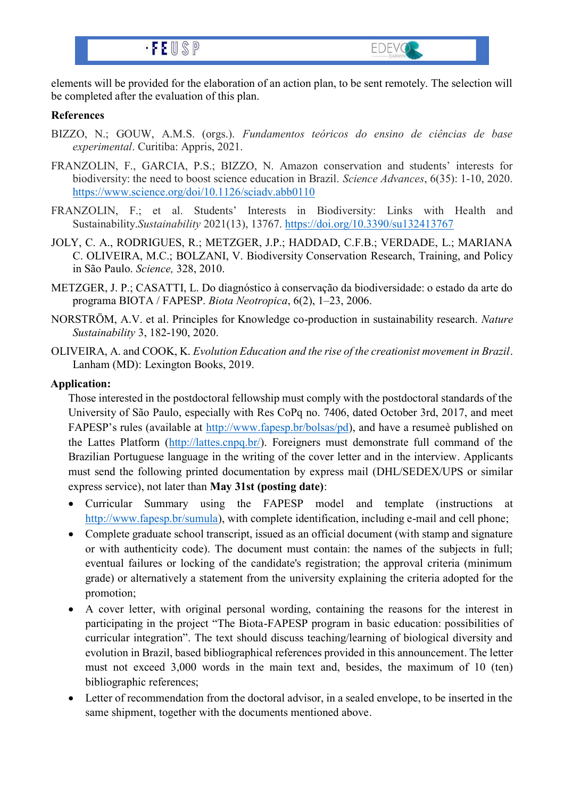



**EDEVG** 

#### **References**

- BIZZO, N.; GOUW, A.M.S. (orgs.). *Fundamentos teóricos do ensino de ciências de base experimental*. Curitiba: Appris, 2021.
- FRANZOLIN, F., GARCIA, P.S.; BIZZO, N. Amazon conservation and students' interests for biodiversity: the need to boost science education in Brazil. *Science Advances*, 6(35): 1-10, 2020. <https://www.science.org/doi/10.1126/sciadv.abb0110>
- FRANZOLIN, F.; et al. Students' Interests in Biodiversity: Links with Health and Sustainability.*Sustainability* 2021(13), 13767.<https://doi.org/10.3390/su132413767>
- JOLY, C. A., RODRIGUES, R.; METZGER, J.P.; HADDAD, C.F.B.; VERDADE, L.; MARIANA C. OLIVEIRA, M.C.; BOLZANI, V. Biodiversity Conservation Research, Training, and Policy in São Paulo. *Science,* 328, 2010.
- METZGER, J. P.; CASATTI, L. Do diagnóstico à conservação da biodiversidade: o estado da arte do programa BIOTA / FAPESP. *Biota Neotropica*, 6(2), 1–23, 2006.
- NORSTRÖM, A.V. et al. Principles for Knowledge co-production in sustainability research. *Nature Sustainability* 3, 182-190, 2020.
- OLIVEIRA, A. and COOK, K. *Evolution Education and the rise of the creationist movement in Brazil*. Lanham (MD): Lexington Books, 2019.

#### **Application:**

Those interested in the postdoctoral fellowship must comply with the postdoctoral standards of the University of São Paulo, especially with Res CoPq no. 7406, dated October 3rd, 2017, and meet FAPESP's rules (available at [http://www.fapesp.br/bolsas/pd\)](http://www.fapesp.br/bolsas/pd), and have a resumeè published on the Lattes Platform [\(http://lattes.cnpq.br/\)](http://lattes.cnpq.br/). Foreigners must demonstrate full command of the Brazilian Portuguese language in the writing of the cover letter and in the interview. Applicants must send the following printed documentation by express mail (DHL/SEDEX/UPS or similar express service), not later than **May 31st (posting date)**:

- Curricular Summary using the FAPESP model and template (instructions at [http://www.fapesp.br/sumula\)](http://www.fapesp.br/sumula), with complete identification, including e-mail and cell phone;
- Complete graduate school transcript, issued as an official document (with stamp and signature or with authenticity code). The document must contain: the names of the subjects in full; eventual failures or locking of the candidate's registration; the approval criteria (minimum grade) or alternatively a statement from the university explaining the criteria adopted for the promotion;
- A cover letter, with original personal wording, containing the reasons for the interest in participating in the project "The Biota-FAPESP program in basic education: possibilities of curricular integration". The text should discuss teaching/learning of biological diversity and evolution in Brazil, based bibliographical references provided in this announcement. The letter must not exceed 3,000 words in the main text and, besides, the maximum of 10 (ten) bibliographic references;
- Letter of recommendation from the doctoral advisor, in a sealed envelope, to be inserted in the same shipment, together with the documents mentioned above.